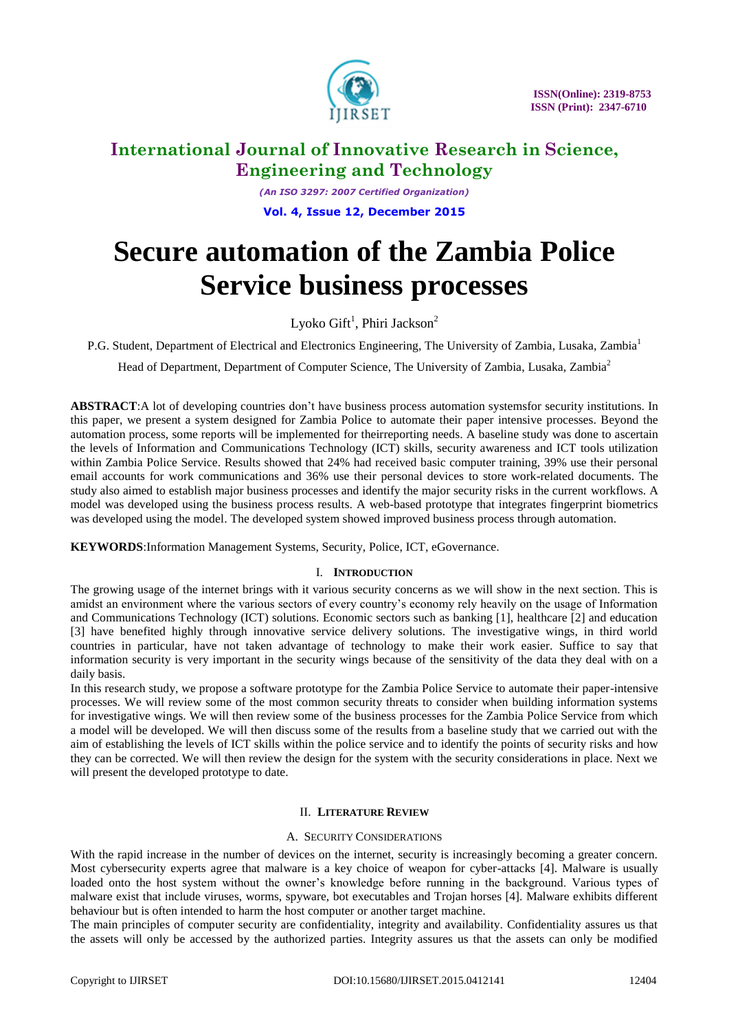

*(An ISO 3297: 2007 Certified Organization)* **Vol. 4, Issue 12, December 2015**

# **Secure automation of the Zambia Police Service business processes**

Lyoko Gift $^1$ , Phiri Jackson $^2$ 

P.G. Student, Department of Electrical and Electronics Engineering, The University of Zambia, Lusaka, Zambia<sup>1</sup>

Head of Department, Department of Computer Science, The University of Zambia, Lusaka, Zambia<sup>2</sup>

**ABSTRACT**:A lot of developing countries don't have business process automation systemsfor security institutions. In this paper, we present a system designed for Zambia Police to automate their paper intensive processes. Beyond the automation process, some reports will be implemented for theirreporting needs. A baseline study was done to ascertain the levels of Information and Communications Technology (ICT) skills, security awareness and ICT tools utilization within Zambia Police Service. Results showed that 24% had received basic computer training, 39% use their personal email accounts for work communications and 36% use their personal devices to store work-related documents. The study also aimed to establish major business processes and identify the major security risks in the current workflows. A model was developed using the business process results. A web-based prototype that integrates fingerprint biometrics was developed using the model. The developed system showed improved business process through automation.

**KEYWORDS**:Information Management Systems, Security, Police, ICT, eGovernance.

# I. **INTRODUCTION**

The growing usage of the internet brings with it various security concerns as we will show in the next section. This is amidst an environment where the various sectors of every country's economy rely heavily on the usage of Information and Communications Technology (ICT) solutions. Economic sectors such as banking [1], healthcare [2] and education [3] have benefited highly through innovative service delivery solutions. The investigative wings, in third world countries in particular, have not taken advantage of technology to make their work easier. Suffice to say that information security is very important in the security wings because of the sensitivity of the data they deal with on a daily basis.

In this research study, we propose a software prototype for the Zambia Police Service to automate their paper-intensive processes. We will review some of the most common security threats to consider when building information systems for investigative wings. We will then review some of the business processes for the Zambia Police Service from which a model will be developed. We will then discuss some of the results from a baseline study that we carried out with the aim of establishing the levels of ICT skills within the police service and to identify the points of security risks and how they can be corrected. We will then review the design for the system with the security considerations in place. Next we will present the developed prototype to date.

# II. **LITERATURE REVIEW**

### A. SECURITY CONSIDERATIONS

With the rapid increase in the number of devices on the internet, security is increasingly becoming a greater concern. Most cybersecurity experts agree that malware is a key choice of weapon for cyber-attacks [4]. Malware is usually loaded onto the host system without the owner's knowledge before running in the background. Various types of malware exist that include viruses, worms, spyware, bot executables and Trojan horses [4]. Malware exhibits different behaviour but is often intended to harm the host computer or another target machine.

The main principles of computer security are confidentiality, integrity and availability. Confidentiality assures us that the assets will only be accessed by the authorized parties. Integrity assures us that the assets can only be modified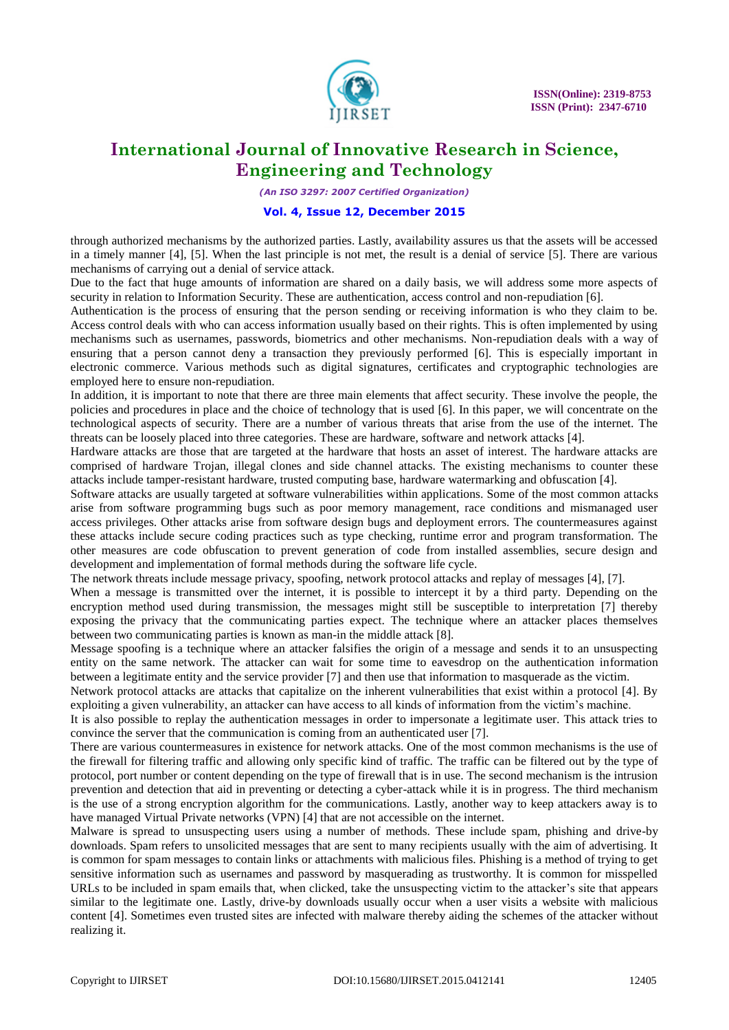

*(An ISO 3297: 2007 Certified Organization)*

### **Vol. 4, Issue 12, December 2015**

through authorized mechanisms by the authorized parties. Lastly, availability assures us that the assets will be accessed in a timely manner [4], [5]. When the last principle is not met, the result is a denial of service [5]. There are various mechanisms of carrying out a denial of service attack.

Due to the fact that huge amounts of information are shared on a daily basis, we will address some more aspects of security in relation to Information Security. These are authentication, access control and non-repudiation [6].

Authentication is the process of ensuring that the person sending or receiving information is who they claim to be. Access control deals with who can access information usually based on their rights. This is often implemented by using mechanisms such as usernames, passwords, biometrics and other mechanisms. Non-repudiation deals with a way of ensuring that a person cannot deny a transaction they previously performed [6]. This is especially important in electronic commerce. Various methods such as digital signatures, certificates and cryptographic technologies are employed here to ensure non-repudiation.

In addition, it is important to note that there are three main elements that affect security. These involve the people, the policies and procedures in place and the choice of technology that is used [6]. In this paper, we will concentrate on the technological aspects of security. There are a number of various threats that arise from the use of the internet. The threats can be loosely placed into three categories. These are hardware, software and network attacks [4].

Hardware attacks are those that are targeted at the hardware that hosts an asset of interest. The hardware attacks are comprised of hardware Trojan, illegal clones and side channel attacks. The existing mechanisms to counter these attacks include tamper-resistant hardware, trusted computing base, hardware watermarking and obfuscation [4].

Software attacks are usually targeted at software vulnerabilities within applications. Some of the most common attacks arise from software programming bugs such as poor memory management, race conditions and mismanaged user access privileges. Other attacks arise from software design bugs and deployment errors. The countermeasures against these attacks include secure coding practices such as type checking, runtime error and program transformation. The other measures are code obfuscation to prevent generation of code from installed assemblies, secure design and development and implementation of formal methods during the software life cycle.

The network threats include message privacy, spoofing, network protocol attacks and replay of messages [4], [7].

When a message is transmitted over the internet, it is possible to intercept it by a third party. Depending on the encryption method used during transmission, the messages might still be susceptible to interpretation [7] thereby exposing the privacy that the communicating parties expect. The technique where an attacker places themselves between two communicating parties is known as man-in the middle attack [8].

Message spoofing is a technique where an attacker falsifies the origin of a message and sends it to an unsuspecting entity on the same network. The attacker can wait for some time to eavesdrop on the authentication information between a legitimate entity and the service provider [7] and then use that information to masquerade as the victim.

Network protocol attacks are attacks that capitalize on the inherent vulnerabilities that exist within a protocol [4]. By exploiting a given vulnerability, an attacker can have access to all kinds of information from the victim's machine.

It is also possible to replay the authentication messages in order to impersonate a legitimate user. This attack tries to convince the server that the communication is coming from an authenticated user [7].

There are various countermeasures in existence for network attacks. One of the most common mechanisms is the use of the firewall for filtering traffic and allowing only specific kind of traffic. The traffic can be filtered out by the type of protocol, port number or content depending on the type of firewall that is in use. The second mechanism is the intrusion prevention and detection that aid in preventing or detecting a cyber-attack while it is in progress. The third mechanism is the use of a strong encryption algorithm for the communications. Lastly, another way to keep attackers away is to have managed Virtual Private networks (VPN) [4] that are not accessible on the internet.

Malware is spread to unsuspecting users using a number of methods. These include spam, phishing and drive-by downloads. Spam refers to unsolicited messages that are sent to many recipients usually with the aim of advertising. It is common for spam messages to contain links or attachments with malicious files. Phishing is a method of trying to get sensitive information such as usernames and password by masquerading as trustworthy. It is common for misspelled URLs to be included in spam emails that, when clicked, take the unsuspecting victim to the attacker's site that appears similar to the legitimate one. Lastly, drive-by downloads usually occur when a user visits a website with malicious content [4]. Sometimes even trusted sites are infected with malware thereby aiding the schemes of the attacker without realizing it.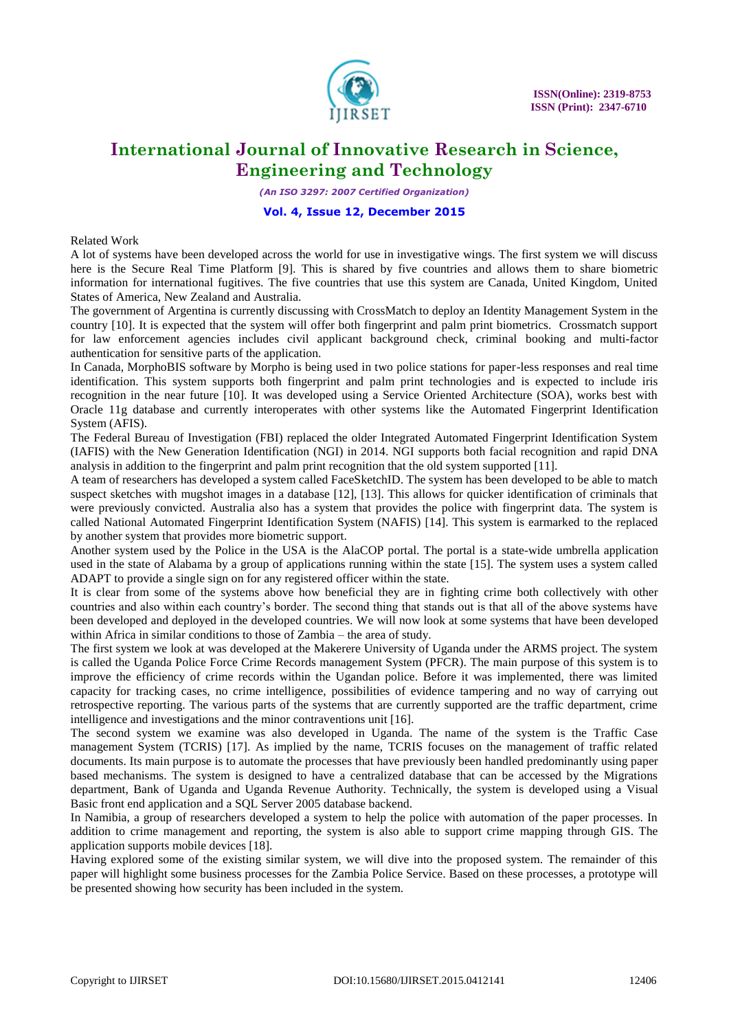

*(An ISO 3297: 2007 Certified Organization)*

### **Vol. 4, Issue 12, December 2015**

Related Work

A lot of systems have been developed across the world for use in investigative wings. The first system we will discuss here is the Secure Real Time Platform [9]. This is shared by five countries and allows them to share biometric information for international fugitives. The five countries that use this system are Canada, United Kingdom, United States of America, New Zealand and Australia.

The government of Argentina is currently discussing with CrossMatch to deploy an Identity Management System in the country [10]. It is expected that the system will offer both fingerprint and palm print biometrics. Crossmatch support for law enforcement agencies includes civil applicant background check, criminal booking and multi-factor authentication for sensitive parts of the application.

In Canada, MorphoBIS software by Morpho is being used in two police stations for paper-less responses and real time identification. This system supports both fingerprint and palm print technologies and is expected to include iris recognition in the near future [10]. It was developed using a Service Oriented Architecture (SOA), works best with Oracle 11g database and currently interoperates with other systems like the Automated Fingerprint Identification System (AFIS).

The Federal Bureau of Investigation (FBI) replaced the older Integrated Automated Fingerprint Identification System (IAFIS) with the New Generation Identification (NGI) in 2014. NGI supports both facial recognition and rapid DNA analysis in addition to the fingerprint and palm print recognition that the old system supported [11].

A team of researchers has developed a system called FaceSketchID. The system has been developed to be able to match suspect sketches with mugshot images in a database [12], [13]. This allows for quicker identification of criminals that were previously convicted. Australia also has a system that provides the police with fingerprint data. The system is called National Automated Fingerprint Identification System (NAFIS) [14]. This system is earmarked to the replaced by another system that provides more biometric support.

Another system used by the Police in the USA is the AlaCOP portal. The portal is a state-wide umbrella application used in the state of Alabama by a group of applications running within the state [15]. The system uses a system called ADAPT to provide a single sign on for any registered officer within the state.

It is clear from some of the systems above how beneficial they are in fighting crime both collectively with other countries and also within each country's border. The second thing that stands out is that all of the above systems have been developed and deployed in the developed countries. We will now look at some systems that have been developed within Africa in similar conditions to those of Zambia – the area of study.

The first system we look at was developed at the Makerere University of Uganda under the ARMS project. The system is called the Uganda Police Force Crime Records management System (PFCR). The main purpose of this system is to improve the efficiency of crime records within the Ugandan police. Before it was implemented, there was limited capacity for tracking cases, no crime intelligence, possibilities of evidence tampering and no way of carrying out retrospective reporting. The various parts of the systems that are currently supported are the traffic department, crime intelligence and investigations and the minor contraventions unit [16].

The second system we examine was also developed in Uganda. The name of the system is the Traffic Case management System (TCRIS) [17]. As implied by the name, TCRIS focuses on the management of traffic related documents. Its main purpose is to automate the processes that have previously been handled predominantly using paper based mechanisms. The system is designed to have a centralized database that can be accessed by the Migrations department, Bank of Uganda and Uganda Revenue Authority. Technically, the system is developed using a Visual Basic front end application and a SQL Server 2005 database backend.

In Namibia, a group of researchers developed a system to help the police with automation of the paper processes. In addition to crime management and reporting, the system is also able to support crime mapping through GIS. The application supports mobile devices [18].

Having explored some of the existing similar system, we will dive into the proposed system. The remainder of this paper will highlight some business processes for the Zambia Police Service. Based on these processes, a prototype will be presented showing how security has been included in the system.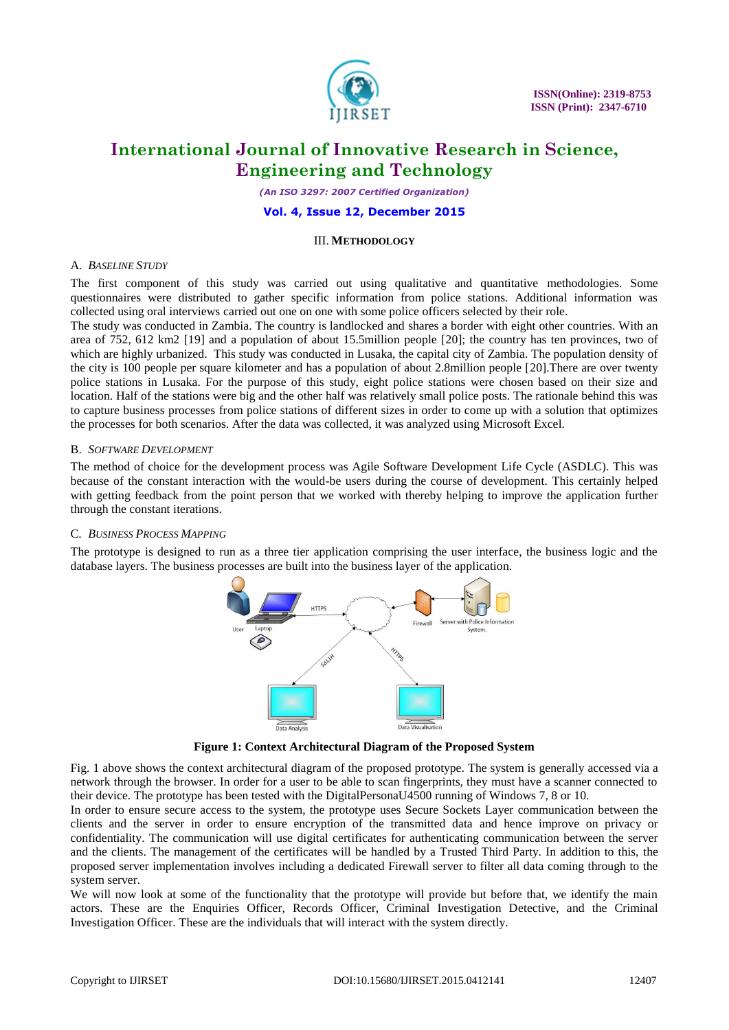

*(An ISO 3297: 2007 Certified Organization)*

#### **Vol. 4, Issue 12, December 2015**

#### III. **METHODOLOGY**

#### A. *BASELINE STUDY*

The first component of this study was carried out using qualitative and quantitative methodologies. Some questionnaires were distributed to gather specific information from police stations. Additional information was collected using oral interviews carried out one on one with some police officers selected by their role.

The study was conducted in Zambia. The country is landlocked and shares a border with eight other countries. With an area of 752, 612 km2 [19] and a population of about 15.5million people [20]; the country has ten provinces, two of which are highly urbanized. This study was conducted in Lusaka, the capital city of Zambia. The population density of the city is 100 people per square kilometer and has a population of about 2.8million people [20].There are over twenty police stations in Lusaka. For the purpose of this study, eight police stations were chosen based on their size and location. Half of the stations were big and the other half was relatively small police posts. The rationale behind this was to capture business processes from police stations of different sizes in order to come up with a solution that optimizes the processes for both scenarios. After the data was collected, it was analyzed using Microsoft Excel.

### B. *SOFTWARE DEVELOPMENT*

The method of choice for the development process was Agile Software Development Life Cycle (ASDLC). This was because of the constant interaction with the would-be users during the course of development. This certainly helped with getting feedback from the point person that we worked with thereby helping to improve the application further through the constant iterations.

### C. *BUSINESS PROCESS MAPPING*

The prototype is designed to run as a three tier application comprising the user interface, the business logic and the database layers. The business processes are built into the business layer of the application.



**Figure 1: Context Architectural Diagram of the Proposed System**

Fig. 1 above shows the context architectural diagram of the proposed prototype. The system is generally accessed via a network through the browser. In order for a user to be able to scan fingerprints, they must have a scanner connected to their device. The prototype has been tested with the DigitalPersonaU4500 running of Windows 7, 8 or 10.

In order to ensure secure access to the system, the prototype uses Secure Sockets Layer communication between the clients and the server in order to ensure encryption of the transmitted data and hence improve on privacy or confidentiality. The communication will use digital certificates for authenticating communication between the server and the clients. The management of the certificates will be handled by a Trusted Third Party. In addition to this, the proposed server implementation involves including a dedicated Firewall server to filter all data coming through to the system server.

We will now look at some of the functionality that the prototype will provide but before that, we identify the main actors. These are the Enquiries Officer, Records Officer, Criminal Investigation Detective, and the Criminal Investigation Officer. These are the individuals that will interact with the system directly.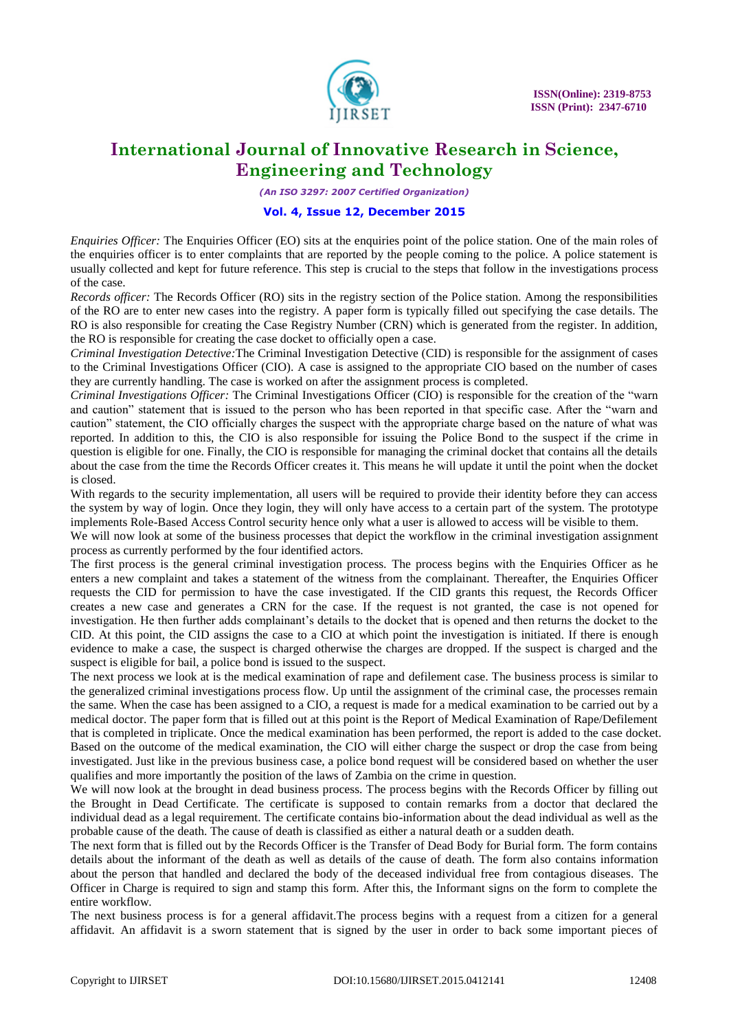

*(An ISO 3297: 2007 Certified Organization)*

### **Vol. 4, Issue 12, December 2015**

*Enquiries Officer:* The Enquiries Officer (EO) sits at the enquiries point of the police station. One of the main roles of the enquiries officer is to enter complaints that are reported by the people coming to the police. A police statement is usually collected and kept for future reference. This step is crucial to the steps that follow in the investigations process of the case.

*Records officer:* The Records Officer (RO) sits in the registry section of the Police station. Among the responsibilities of the RO are to enter new cases into the registry. A paper form is typically filled out specifying the case details. The RO is also responsible for creating the Case Registry Number (CRN) which is generated from the register. In addition, the RO is responsible for creating the case docket to officially open a case.

*Criminal Investigation Detective:*The Criminal Investigation Detective (CID) is responsible for the assignment of cases to the Criminal Investigations Officer (CIO). A case is assigned to the appropriate CIO based on the number of cases they are currently handling. The case is worked on after the assignment process is completed.

*Criminal Investigations Officer:* The Criminal Investigations Officer (CIO) is responsible for the creation of the "warn and caution" statement that is issued to the person who has been reported in that specific case. After the "warn and caution" statement, the CIO officially charges the suspect with the appropriate charge based on the nature of what was reported. In addition to this, the CIO is also responsible for issuing the Police Bond to the suspect if the crime in question is eligible for one. Finally, the CIO is responsible for managing the criminal docket that contains all the details about the case from the time the Records Officer creates it. This means he will update it until the point when the docket is closed.

With regards to the security implementation, all users will be required to provide their identity before they can access the system by way of login. Once they login, they will only have access to a certain part of the system. The prototype implements Role-Based Access Control security hence only what a user is allowed to access will be visible to them.

We will now look at some of the business processes that depict the workflow in the criminal investigation assignment process as currently performed by the four identified actors.

The first process is the general criminal investigation process. The process begins with the Enquiries Officer as he enters a new complaint and takes a statement of the witness from the complainant. Thereafter, the Enquiries Officer requests the CID for permission to have the case investigated. If the CID grants this request, the Records Officer creates a new case and generates a CRN for the case. If the request is not granted, the case is not opened for investigation. He then further adds complainant's details to the docket that is opened and then returns the docket to the CID. At this point, the CID assigns the case to a CIO at which point the investigation is initiated. If there is enough evidence to make a case, the suspect is charged otherwise the charges are dropped. If the suspect is charged and the suspect is eligible for bail, a police bond is issued to the suspect.

The next process we look at is the medical examination of rape and defilement case. The business process is similar to the generalized criminal investigations process flow. Up until the assignment of the criminal case, the processes remain the same. When the case has been assigned to a CIO, a request is made for a medical examination to be carried out by a medical doctor. The paper form that is filled out at this point is the Report of Medical Examination of Rape/Defilement that is completed in triplicate. Once the medical examination has been performed, the report is added to the case docket. Based on the outcome of the medical examination, the CIO will either charge the suspect or drop the case from being investigated. Just like in the previous business case, a police bond request will be considered based on whether the user qualifies and more importantly the position of the laws of Zambia on the crime in question.

We will now look at the brought in dead business process. The process begins with the Records Officer by filling out the Brought in Dead Certificate. The certificate is supposed to contain remarks from a doctor that declared the individual dead as a legal requirement. The certificate contains bio-information about the dead individual as well as the probable cause of the death. The cause of death is classified as either a natural death or a sudden death.

The next form that is filled out by the Records Officer is the Transfer of Dead Body for Burial form. The form contains details about the informant of the death as well as details of the cause of death. The form also contains information about the person that handled and declared the body of the deceased individual free from contagious diseases. The Officer in Charge is required to sign and stamp this form. After this, the Informant signs on the form to complete the entire workflow.

The next business process is for a general affidavit.The process begins with a request from a citizen for a general affidavit. An affidavit is a sworn statement that is signed by the user in order to back some important pieces of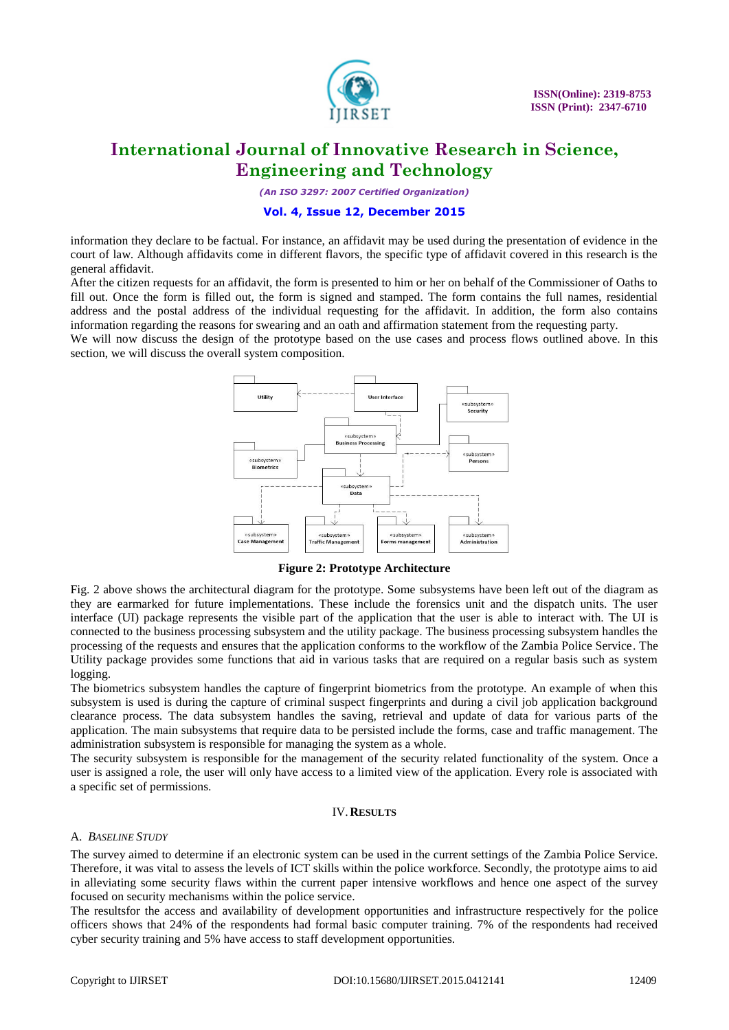

*(An ISO 3297: 2007 Certified Organization)*

### **Vol. 4, Issue 12, December 2015**

information they declare to be factual. For instance, an affidavit may be used during the presentation of evidence in the court of law. Although affidavits come in different flavors, the specific type of affidavit covered in this research is the general affidavit.

After the citizen requests for an affidavit, the form is presented to him or her on behalf of the Commissioner of Oaths to fill out. Once the form is filled out, the form is signed and stamped. The form contains the full names, residential address and the postal address of the individual requesting for the affidavit. In addition, the form also contains information regarding the reasons for swearing and an oath and affirmation statement from the requesting party.

We will now discuss the design of the prototype based on the use cases and process flows outlined above. In this section, we will discuss the overall system composition.



**Figure 2: Prototype Architecture**

Fig. 2 above shows the architectural diagram for the prototype. Some subsystems have been left out of the diagram as they are earmarked for future implementations. These include the forensics unit and the dispatch units. The user interface (UI) package represents the visible part of the application that the user is able to interact with. The UI is connected to the business processing subsystem and the utility package. The business processing subsystem handles the processing of the requests and ensures that the application conforms to the workflow of the Zambia Police Service. The Utility package provides some functions that aid in various tasks that are required on a regular basis such as system logging.

The biometrics subsystem handles the capture of fingerprint biometrics from the prototype. An example of when this subsystem is used is during the capture of criminal suspect fingerprints and during a civil job application background clearance process. The data subsystem handles the saving, retrieval and update of data for various parts of the application. The main subsystems that require data to be persisted include the forms, case and traffic management. The administration subsystem is responsible for managing the system as a whole.

The security subsystem is responsible for the management of the security related functionality of the system. Once a user is assigned a role, the user will only have access to a limited view of the application. Every role is associated with a specific set of permissions.

#### IV.**RESULTS**

### A. *BASELINE STUDY*

The survey aimed to determine if an electronic system can be used in the current settings of the Zambia Police Service. Therefore, it was vital to assess the levels of ICT skills within the police workforce. Secondly, the prototype aims to aid in alleviating some security flaws within the current paper intensive workflows and hence one aspect of the survey focused on security mechanisms within the police service.

The resultsfor the access and availability of development opportunities and infrastructure respectively for the police officers shows that 24% of the respondents had formal basic computer training. 7% of the respondents had received cyber security training and 5% have access to staff development opportunities.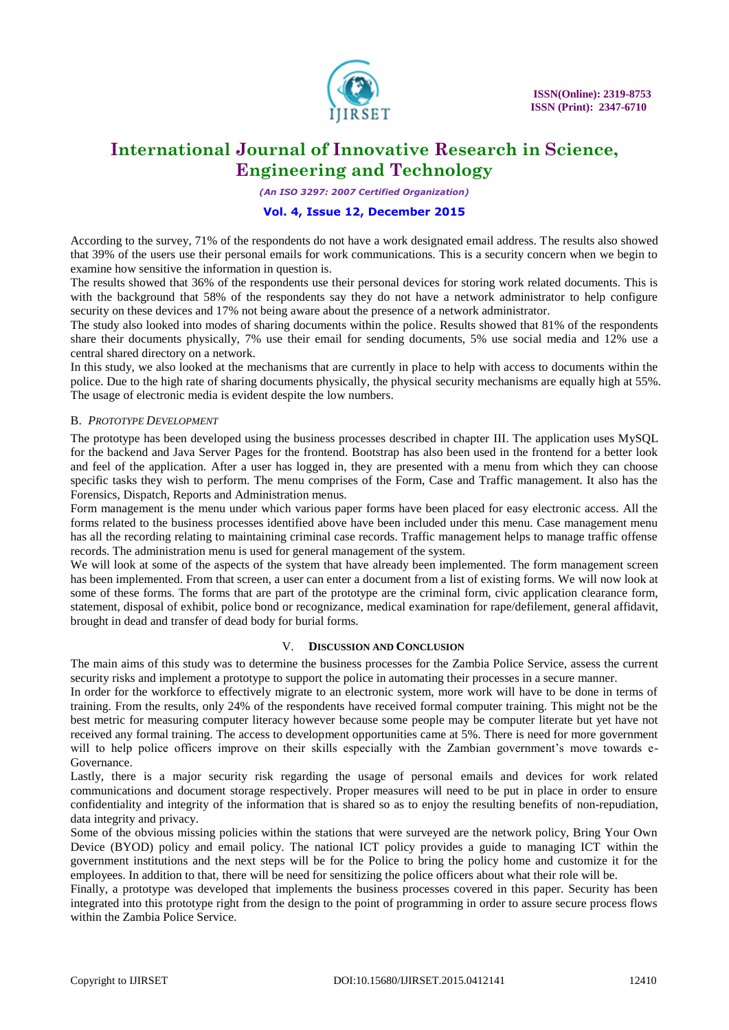

*(An ISO 3297: 2007 Certified Organization)*

### **Vol. 4, Issue 12, December 2015**

According to the survey, 71% of the respondents do not have a work designated email address. The results also showed that 39% of the users use their personal emails for work communications. This is a security concern when we begin to examine how sensitive the information in question is.

The results showed that 36% of the respondents use their personal devices for storing work related documents. This is with the background that 58% of the respondents say they do not have a network administrator to help configure security on these devices and 17% not being aware about the presence of a network administrator.

The study also looked into modes of sharing documents within the police. Results showed that 81% of the respondents share their documents physically, 7% use their email for sending documents, 5% use social media and 12% use a central shared directory on a network.

In this study, we also looked at the mechanisms that are currently in place to help with access to documents within the police. Due to the high rate of sharing documents physically, the physical security mechanisms are equally high at 55%. The usage of electronic media is evident despite the low numbers.

### B. *PROTOTYPE DEVELOPMENT*

The prototype has been developed using the business processes described in chapter III. The application uses MySQL for the backend and Java Server Pages for the frontend. Bootstrap has also been used in the frontend for a better look and feel of the application. After a user has logged in, they are presented with a menu from which they can choose specific tasks they wish to perform. The menu comprises of the Form, Case and Traffic management. It also has the Forensics, Dispatch, Reports and Administration menus.

Form management is the menu under which various paper forms have been placed for easy electronic access. All the forms related to the business processes identified above have been included under this menu. Case management menu has all the recording relating to maintaining criminal case records. Traffic management helps to manage traffic offense records. The administration menu is used for general management of the system.

We will look at some of the aspects of the system that have already been implemented. The form management screen has been implemented. From that screen, a user can enter a document from a list of existing forms. We will now look at some of these forms. The forms that are part of the prototype are the criminal form, civic application clearance form, statement, disposal of exhibit, police bond or recognizance, medical examination for rape/defilement, general affidavit, brought in dead and transfer of dead body for burial forms.

#### V. **DISCUSSION AND CONCLUSION**

The main aims of this study was to determine the business processes for the Zambia Police Service, assess the current security risks and implement a prototype to support the police in automating their processes in a secure manner.

In order for the workforce to effectively migrate to an electronic system, more work will have to be done in terms of training. From the results, only 24% of the respondents have received formal computer training. This might not be the best metric for measuring computer literacy however because some people may be computer literate but yet have not received any formal training. The access to development opportunities came at 5%. There is need for more government will to help police officers improve on their skills especially with the Zambian government's move towards e-Governance.

Lastly, there is a major security risk regarding the usage of personal emails and devices for work related communications and document storage respectively. Proper measures will need to be put in place in order to ensure confidentiality and integrity of the information that is shared so as to enjoy the resulting benefits of non-repudiation, data integrity and privacy.

Some of the obvious missing policies within the stations that were surveyed are the network policy, Bring Your Own Device (BYOD) policy and email policy. The national ICT policy provides a guide to managing ICT within the government institutions and the next steps will be for the Police to bring the policy home and customize it for the employees. In addition to that, there will be need for sensitizing the police officers about what their role will be.

Finally, a prototype was developed that implements the business processes covered in this paper. Security has been integrated into this prototype right from the design to the point of programming in order to assure secure process flows within the Zambia Police Service.